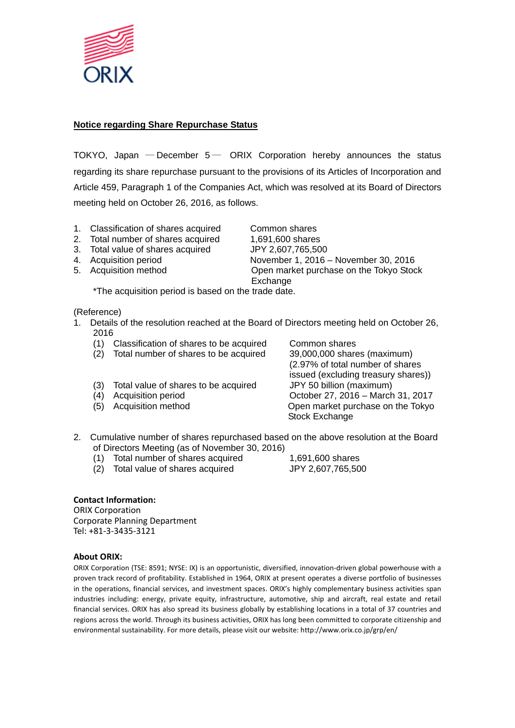

## **Notice regarding Share Repurchase Status**

TOKYO, Japan  $-$  December  $5-$  ORIX Corporation hereby announces the status regarding its share repurchase pursuant to the provisions of its Articles of Incorporation and Article 459, Paragraph 1 of the Companies Act, which was resolved at its Board of Directors meeting held on October 26, 2016, as follows.

- 1. Classification of shares acquired Common shares
- 2. Total number of shares acquired 1,691,600 shares
- 3. Total value of shares acquired JPY 2,607,765,500
- 
- 

4. Acquisition period November 1, 2016 – November 30, 2016 5. Acquisition method Open market purchase on the Tokyo Stock **Exchange** 

\*The acquisition period is based on the trade date.

(Reference)

- 1. Details of the resolution reached at the Board of Directors meeting held on October 26, 2016
	- (1) Classification of shares to be acquired Common shares
	- (2) Total number of shares to be acquired 39,000,000 shares (maximum)
	- (3) Total value of shares to be acquired JPY 50 billion (maximum)
	-
	-

(2.97% of total number of shares issued (excluding treasury shares)) (4) Acquisition period October 27, 2016 – March 31, 2017 (5) Acquisition method Open market purchase on the Tokyo Stock Exchange

- 2. Cumulative number of shares repurchased based on the above resolution at the Board of Directors Meeting (as of November 30, 2016)
	- (1) Total number of shares acquired 1,691,600 shares
	- (2) Total value of shares acquired JPY 2,607,765,500

## **Contact Information:**

ORIX Corporation Corporate Planning Department Tel: +81-3-3435-3121

## **About ORIX:**

ORIX Corporation (TSE: 8591; NYSE: IX) is an opportunistic, diversified, innovation-driven global powerhouse with a proven track record of profitability. Established in 1964, ORIX at present operates a diverse portfolio of businesses in the operations, financial services, and investment spaces. ORIX's highly complementary business activities span industries including: energy, private equity, infrastructure, automotive, ship and aircraft, real estate and retail financial services. ORIX has also spread its business globally by establishing locations in a total of 37 countries and regions across the world. Through its business activities, ORIX has long been committed to corporate citizenship and environmental sustainability. For more details, please visit our website: http://www.orix.co.jp/grp/en/